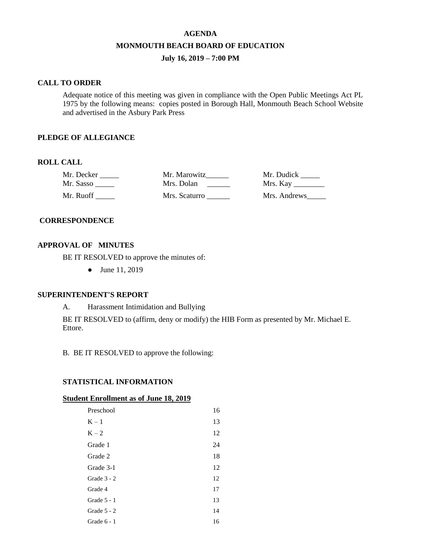# **AGENDA MONMOUTH BEACH BOARD OF EDUCATION July 16, 2019 – 7:00 PM**

# **CALL TO ORDER**

Adequate notice of this meeting was given in compliance with the Open Public Meetings Act PL 1975 by the following means: copies posted in Borough Hall, Monmouth Beach School Website and advertised in the Asbury Park Press

# **PLEDGE OF ALLEGIANCE**

# **ROLL CALL**

| Mr. Decker | Mr. Marowitz  | Mr. Dudick         |
|------------|---------------|--------------------|
| Mr. Sasso  | Mrs. Dolan    | Mrs. Kay _________ |
| Mr. Ruoff  | Mrs. Scaturro | Mrs. Andrews       |

# **CORRESPONDENCE**

# **APPROVAL OF MINUTES**

BE IT RESOLVED to approve the minutes of:

● June 11, 2019

# **SUPERINTENDENT'S REPORT**

A. Harassment Intimidation and Bullying

BE IT RESOLVED to (affirm, deny or modify) the HIB Form as presented by Mr. Michael E. Ettore.

B. BE IT RESOLVED to approve the following:

# **STATISTICAL INFORMATION**

#### **Student Enrollment as of June 18, 2019**

| Preschool     | 16 |
|---------------|----|
| $K - 1$       | 13 |
| $K - 2$       | 12 |
| Grade 1       | 24 |
| Grade 2       | 18 |
| Grade 3-1     | 12 |
| Grade $3 - 2$ | 12 |
| Grade 4       | 17 |
| Grade $5 - 1$ | 13 |
| Grade $5 - 2$ | 14 |
| Grade 6 - 1   | 16 |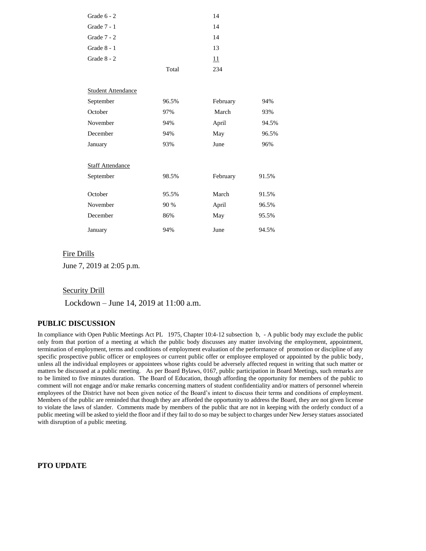| Grade $6 - 2$ |       | 14 |
|---------------|-------|----|
| Grade 7 - 1   |       | 14 |
| Grade $7 - 2$ |       | 14 |
| Grade $8 - 1$ |       | 13 |
| Grade 8 - 2   |       | 11 |
|               | Total | 34 |

| <b>Student Attendance</b> |       |          |       |
|---------------------------|-------|----------|-------|
| September                 | 96.5% | February | 94%   |
| October                   | 97%   | March    | 93%   |
| November                  | 94%   | April    | 94.5% |
| December                  | 94%   | May      | 96.5% |
| January                   | 93%   | June     | 96%   |
|                           |       |          |       |
| <b>Staff Attendance</b>   |       |          |       |
| September                 | 98.5% | February | 91.5% |
|                           |       |          |       |
| October                   | 95.5% | March    | 91.5% |
| November                  | 90 %  | April    | 96.5% |
| December                  | 86%   | May      | 95.5% |
| January                   | 94%   | June     | 94.5% |

# Fire Drills

June 7, 2019 at 2:05 p.m.

# **Security Drill**

Lockdown – June 14, 2019 at 11:00 a.m.

### **PUBLIC DISCUSSION**

In compliance with Open Public Meetings Act PL 1975, Chapter 10:4-12 subsection b, - A public body may exclude the public only from that portion of a meeting at which the public body discusses any matter involving the employment, appointment, termination of employment, terms and conditions of employment evaluation of the performance of promotion or discipline of any specific prospective public officer or employees or current public offer or employee employed or appointed by the public body, unless all the individual employees or appointees whose rights could be adversely affected request in writing that such matter or matters be discussed at a public meeting. As per Board Bylaws, 0167, public participation in Board Meetings, such remarks are to be limited to five minutes duration. The Board of Education, though affording the opportunity for members of the public to comment will not engage and/or make remarks concerning matters of student confidentiality and/or matters of personnel wherein employees of the District have not been given notice of the Board's intent to discuss their terms and conditions of employment. Members of the public are reminded that though they are afforded the opportunity to address the Board, they are not given license to violate the laws of slander. Comments made by members of the public that are not in keeping with the orderly conduct of a public meeting will be asked to yield the floor and if they fail to do so may be subject to charges under New Jersey statues associated with disruption of a public meeting.

### **PTO UPDATE**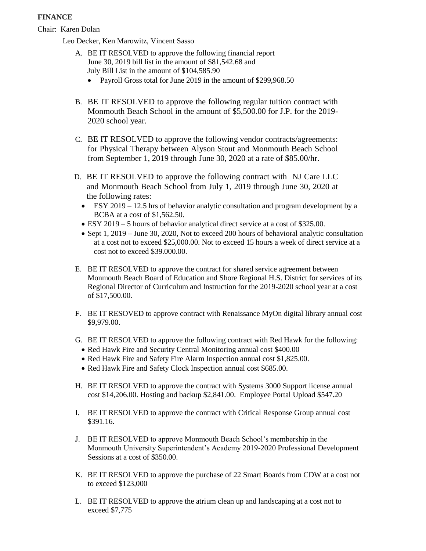# **FINANCE**

Chair: Karen Dolan

Leo Decker, Ken Marowitz, Vincent Sasso

- A. BE IT RESOLVED to approve the following financial report June 30, 2019 bill list in the amount of \$81,542.68 and July Bill List in the amount of \$104,585.90
	- Payroll Gross total for June 2019 in the amount of \$299,968.50
- B. BE IT RESOLVED to approve the following regular tuition contract with Monmouth Beach School in the amount of \$5,500.00 for J.P. for the 2019- 2020 school year.
- C. BE IT RESOLVED to approve the following vendor contracts/agreements: for Physical Therapy between Alyson Stout and Monmouth Beach School from September 1, 2019 through June 30, 2020 at a rate of \$85.00/hr.
- D. BE IT RESOLVED to approve the following contract with NJ Care LLC and Monmouth Beach School from July 1, 2019 through June 30, 2020 at the following rates:
	- ESY 2019 12.5 hrs of behavior analytic consultation and program development by a BCBA at a cost of \$1,562.50.
	- ESY 2019 5 hours of behavior analytical direct service at a cost of \$325.00.
	- Sept 1, 2019 June 30, 2020, Not to exceed 200 hours of behavioral analytic consultation at a cost not to exceed \$25,000.00. Not to exceed 15 hours a week of direct service at a cost not to exceed \$39.000.00.
- E. BE IT RESOLVED to approve the contract for shared service agreement between Monmouth Beach Board of Education and Shore Regional H.S. District for services of its Regional Director of Curriculum and Instruction for the 2019-2020 school year at a cost of \$17,500.00.
- F. BE IT RESOVED to approve contract with Renaissance MyOn digital library annual cost \$9,979.00.
- G. BE IT RESOLVED to approve the following contract with Red Hawk for the following:
	- Red Hawk Fire and Security Central Monitoring annual cost \$400.00
	- Red Hawk Fire and Safety Fire Alarm Inspection annual cost \$1,825.00.
	- Red Hawk Fire and Safety Clock Inspection annual cost \$685.00.
- H. BE IT RESOLVED to approve the contract with Systems 3000 Support license annual cost \$14,206.00. Hosting and backup \$2,841.00. Employee Portal Upload \$547.20
- I. BE IT RESOLVED to approve the contract with Critical Response Group annual cost \$391.16.
- J. BE IT RESOLVED to approve Monmouth Beach School's membership in the Monmouth University Superintendent's Academy 2019-2020 Professional Development Sessions at a cost of \$350.00.
- K. BE IT RESOLVED to approve the purchase of 22 Smart Boards from CDW at a cost not to exceed \$123,000
- L. BE IT RESOLVED to approve the atrium clean up and landscaping at a cost not to exceed \$7,775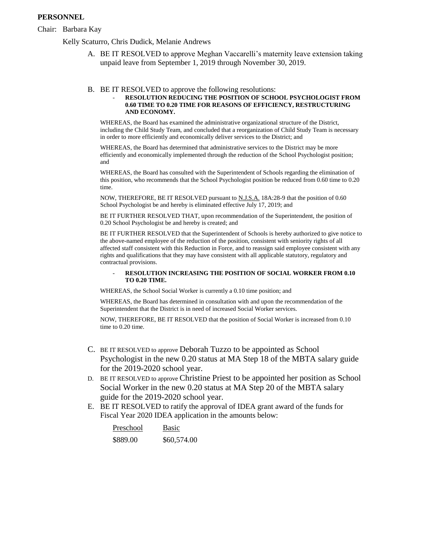# **PERSONNEL**

### Chair: Barbara Kay

Kelly Scaturro, Chris Dudick, Melanie Andrews

A. BE IT RESOLVED to approve Meghan Vaccarelli's maternity leave extension taking unpaid leave from September 1, 2019 through November 30, 2019.

#### B. BE IT RESOLVED to approve the following resolutions:

#### - **RESOLUTION REDUCING THE POSITION OF SCHOOL PSYCHOLOGIST FROM 0.60 TIME TO 0.20 TIME FOR REASONS OF EFFICIENCY, RESTRUCTURING AND ECONOMY.**

WHEREAS, the Board has examined the administrative organizational structure of the District, including the Child Study Team, and concluded that a reorganization of Child Study Team is necessary in order to more efficiently and economically deliver services to the District; and

WHEREAS, the Board has determined that administrative services to the District may be more efficiently and economically implemented through the reduction of the School Psychologist position; and

WHEREAS, the Board has consulted with the Superintendent of Schools regarding the elimination of this position, who recommends that the School Psychologist position be reduced from 0.60 time to 0.20 time.

NOW, THEREFORE, BE IT RESOLVED pursuant to N.J.S.A. 18A:28-9 that the position of 0.60 School Psychologist be and hereby is eliminated effective July 17, 2019; and

BE IT FURTHER RESOLVED THAT, upon recommendation of the Superintendent, the position of 0.20 School Psychologist be and hereby is created; and

BE IT FURTHER RESOLVED that the Superintendent of Schools is hereby authorized to give notice to the above-named employee of the reduction of the position, consistent with seniority rights of all affected staff consistent with this Reduction in Force, and to reassign said employee consistent with any rights and qualifications that they may have consistent with all applicable statutory, regulatory and contractual provisions.

#### - **RESOLUTION INCREASING THE POSITION OF SOCIAL WORKER FROM 0.10 TO 0.20 TIME.**

WHEREAS, the School Social Worker is currently a 0.10 time position; and

WHEREAS, the Board has determined in consultation with and upon the recommendation of the Superintendent that the District is in need of increased Social Worker services.

NOW, THEREFORE, BE IT RESOLVED that the position of Social Worker is increased from 0.10 time to 0.20 time.

- C. BE IT RESOLVED to approve Deborah Tuzzo to be appointed as School Psychologist in the new 0.20 status at MA Step 18 of the MBTA salary guide for the 2019-2020 school year.
- D. BE IT RESOLVED to approve Christine Priest to be appointed her position as School Social Worker in the new 0.20 status at MA Step 20 of the MBTA salary guide for the 2019-2020 school year.
- E. BE IT RESOLVED to ratify the approval of IDEA grant award of the funds for Fiscal Year 2020 IDEA application in the amounts below:

| Preschool | <b>Basic</b> |
|-----------|--------------|
| \$889.00  | \$60,574.00  |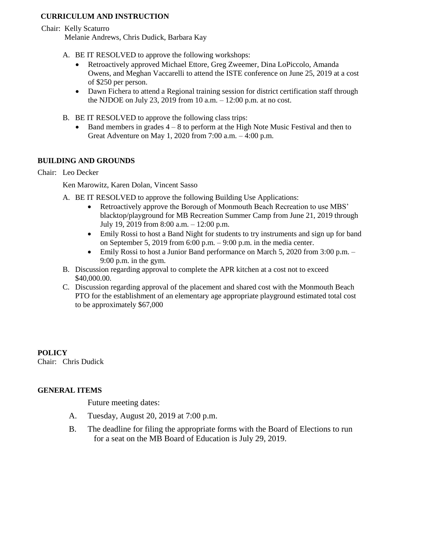# **CURRICULUM AND INSTRUCTION**

Chair: Kelly Scaturro

Melanie Andrews, Chris Dudick, Barbara Kay

- A. BE IT RESOLVED to approve the following workshops:
	- Retroactively approved Michael Ettore, Greg Zweemer, Dina LoPiccolo, Amanda Owens, and Meghan Vaccarelli to attend the ISTE conference on June 25, 2019 at a cost of \$250 per person.
	- Dawn Fichera to attend a Regional training session for district certification staff through the NJDOE on July 23, 2019 from 10 a.m. – 12:00 p.m. at no cost.
- B. BE IT RESOLVED to approve the following class trips:
	- $\bullet$  Band members in grades  $4 8$  to perform at the High Note Music Festival and then to Great Adventure on May 1, 2020 from 7:00 a.m. – 4:00 p.m.

# **BUILDING AND GROUNDS**

Chair: Leo Decker

Ken Marowitz, Karen Dolan, Vincent Sasso

- A. BE IT RESOLVED to approve the following Building Use Applications:
	- Retroactively approve the Borough of Monmouth Beach Recreation to use MBS' blacktop/playground for MB Recreation Summer Camp from June 21, 2019 through July 19, 2019 from 8:00 a.m. – 12:00 p.m.
	- Emily Rossi to host a Band Night for students to try instruments and sign up for band on September 5, 2019 from 6:00 p.m. – 9:00 p.m. in the media center.
	- Emily Rossi to host a Junior Band performance on March 5, 2020 from 3:00 p.m. 9:00 p.m. in the gym.
- B. Discussion regarding approval to complete the APR kitchen at a cost not to exceed \$40,000.00.
- C. Discussion regarding approval of the placement and shared cost with the Monmouth Beach PTO for the establishment of an elementary age appropriate playground estimated total cost to be approximately \$67,000

**POLICY** Chair: Chris Dudick

# **GENERAL ITEMS**

Future meeting dates:

- A. Tuesday, August 20, 2019 at 7:00 p.m.
- B. The deadline for filing the appropriate forms with the Board of Elections to run for a seat on the MB Board of Education is July 29, 2019.